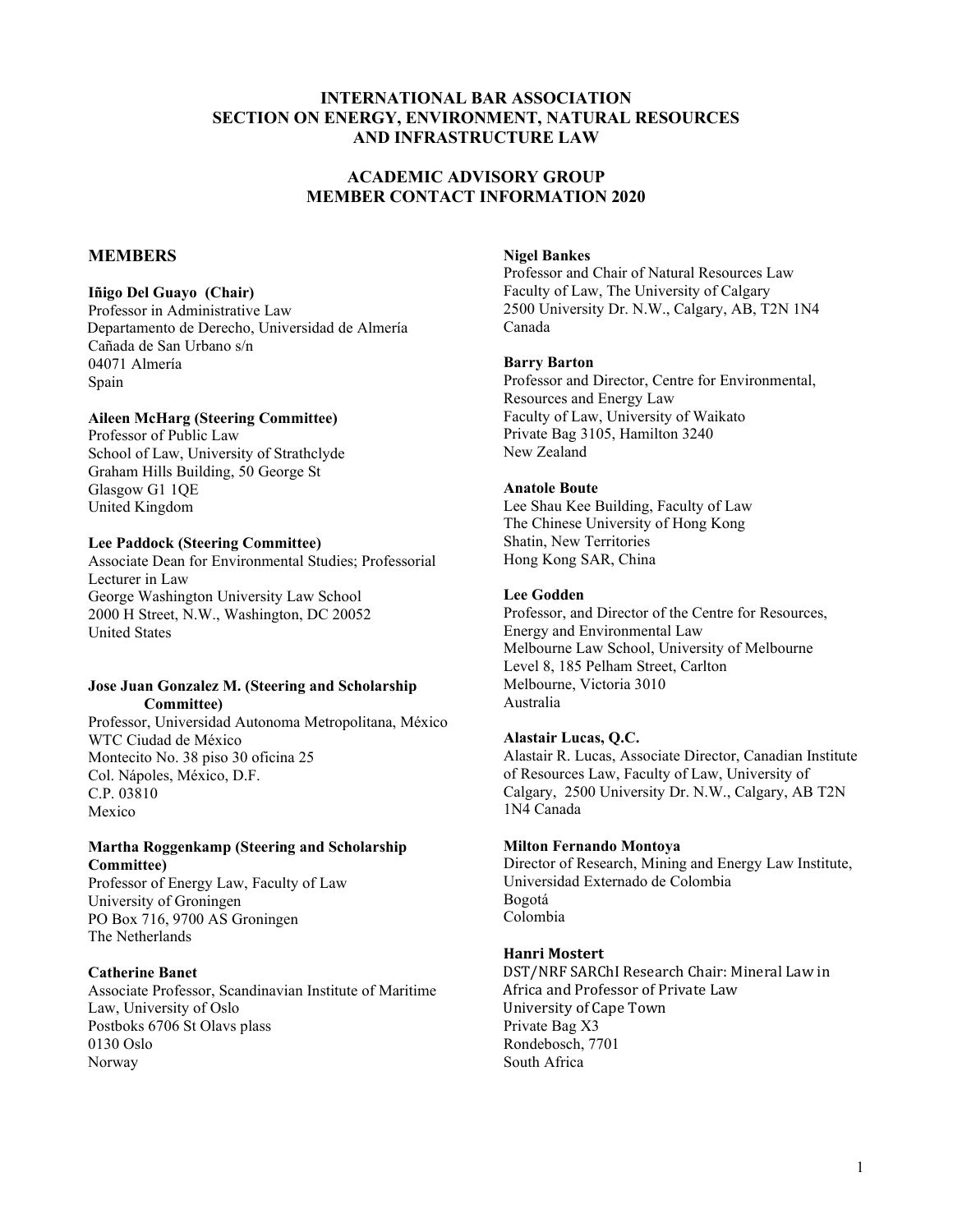# **INTERNATIONAL BAR ASSOCIATION SECTION ON ENERGY, ENVIRONMENT, NATURAL RESOURCES AND INFRASTRUCTURE LAW**

# **ACADEMIC ADVISORY GROUP MEMBER CONTACT INFORMATION 2020**

# **MEMBERS**

# **Iñigo Del Guayo (Chair)**

Professor in Administrative Law Departamento de Derecho, Universidad de Almería Cañada de San Urbano s/n 04071 Almería Spain

# **Aileen McHarg (Steering Committee)**

Professor of Public Law School of Law, University of Strathclyde Graham Hills Building, 50 George St Glasgow G1 1QE United Kingdom

## **Lee Paddock (Steering Committee)**

Associate Dean for Environmental Studies; Professorial Lecturer in Law George Washington University Law School 2000 H Street, N.W., Washington, DC 20052 United States

#### **Jose Juan Gonzalez M. (Steering and Scholarship Committee)**

Professor, Universidad Autonoma Metropolitana, México WTC Ciudad de México Montecito No. 38 piso 30 oficina 25 Col. Nápoles, México, D.F. C.P. 03810 Mexico

### **Martha Roggenkamp (Steering and Scholarship Committee)**

Professor of Energy Law, Faculty of Law University of Groningen PO Box 716, 9700 AS Groningen The Netherlands

## **Catherine Banet**

Associate Professor, Scandinavian Institute of Maritime Law, University of Oslo Postboks 6706 St Olavs plass 0130 Oslo Norway

# **Nigel Bankes**

Professor and Chair of Natural Resources Law Faculty of Law, The University of Calgary 2500 University Dr. N.W., Calgary, AB, T2N 1N4 Canada

#### **Barry Barton**

Professor and Director, Centre for Environmental, Resources and Energy Law Faculty of Law, University of Waikato Private Bag 3105, Hamilton 3240 New Zealand

### **Anatole Boute**

Lee Shau Kee Building, Faculty of Law The Chinese University of Hong Kong Shatin, New Territories Hong Kong SAR, China

### **Lee Godden**

Professor, and Director of the Centre for Resources, Energy and Environmental Law Melbourne Law School, University of Melbourne Level 8, 185 Pelham Street, Carlton Melbourne, Victoria 3010 Australia

#### **Alastair Lucas, Q.C.**

Alastair R. Lucas, Associate Director, Canadian Institute of Resources Law, Faculty of Law, University of Calgary, 2500 University Dr. N.W., Calgary, AB T2N 1N4 Canada

#### **Milton Fernando Montoya**

Director of Research, Mining and Energy Law Institute, Universidad Externado de Colombia Bogotá Colombia

## **Hanri Mostert**

DST/NRF SARChI Research Chair: Mineral Law in Africa and Professor of Private Law University of Cape Town Private Bag X3 Rondebosch, 7701 South Africa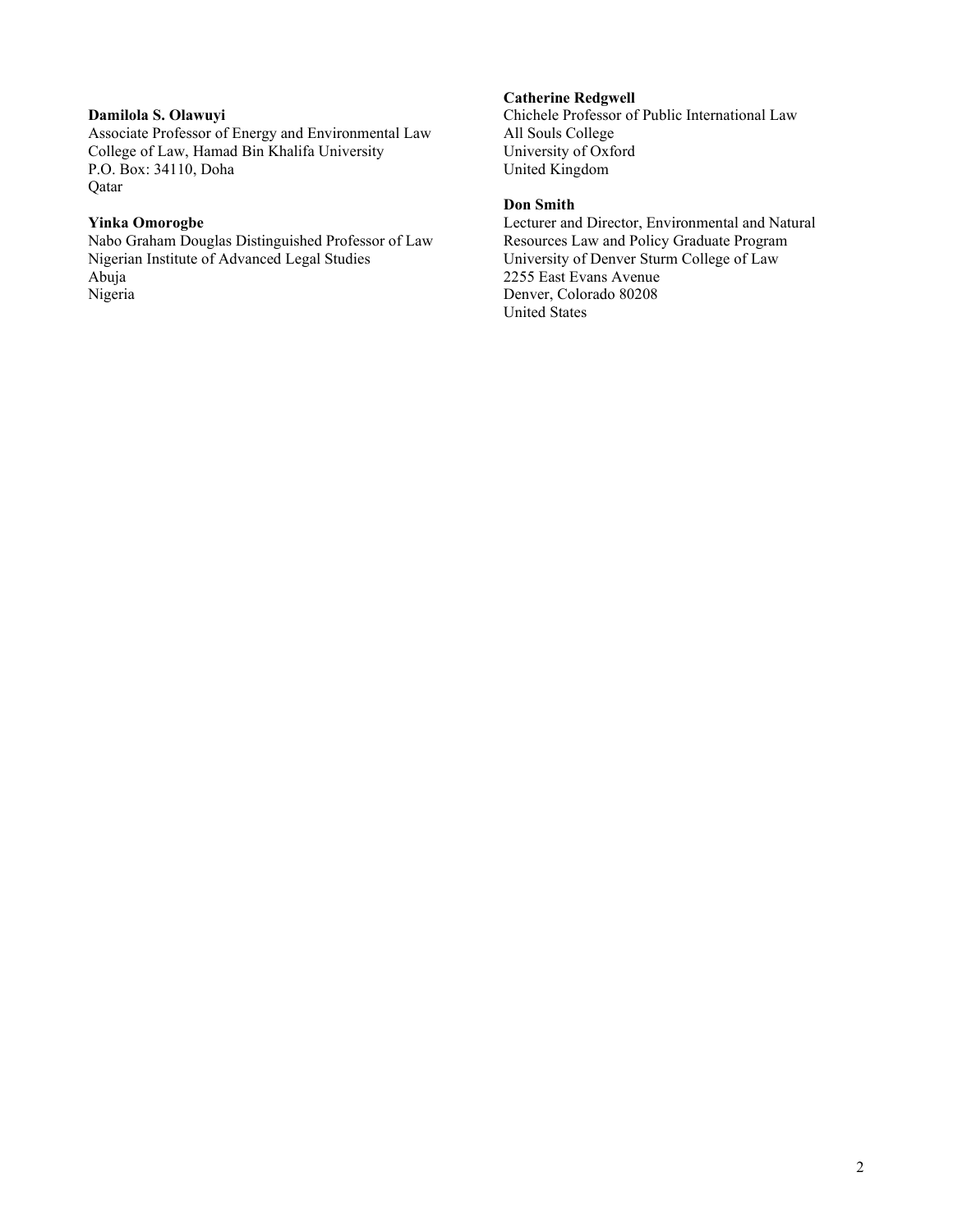# **Damilola S. Olawuyi**

Associate Professor of Energy and Environmental Law College of Law, Hamad Bin Khalifa University P.O. Box: 34110, Doha Qatar

# **Yinka Omorogbe**

Nabo Graham Douglas Distinguished Professor of Law Nigerian Institute of Advanced Legal Studies Abuja Nigeria

### **Catherine Redgwell**

Chichele Professor of Public International Law All Souls College University of Oxford United Kingdom

# **Don Smith**

Lecturer and Director, Environmental and Natural Resources Law and Policy Graduate Program University of Denver Sturm College of Law 2255 East Evans Avenue Denver, Colorado 80208 United States